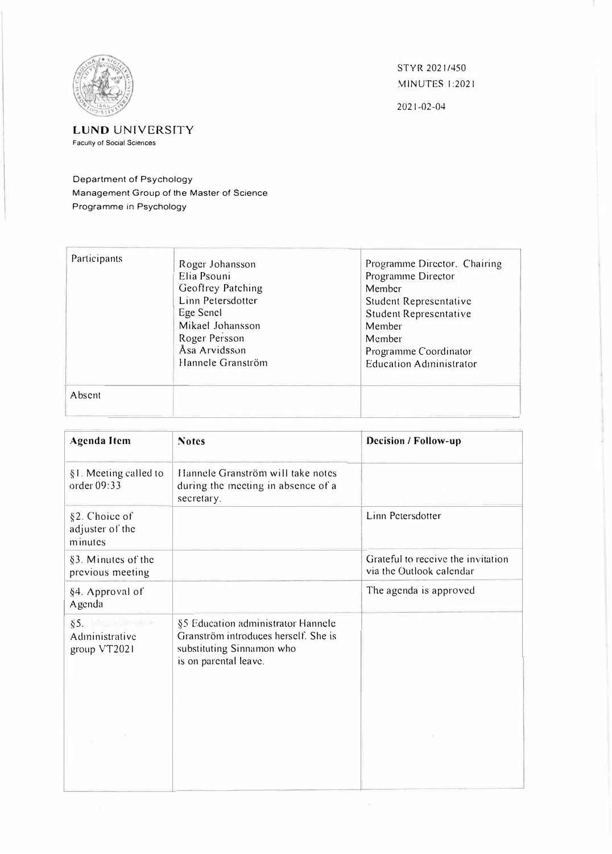

STYR2021/450 MINUTES I :2021

2021-02-04

## **LUND UNIVERSTTY**  Faculty of Social Sciences

Department of Psychology Management Group of the Master of Science Programme in Psychology

| Participants | Roger Johansson<br>Elia Psouni<br>Geoffrey Patching<br>Linn Petersdotter<br>Ege Senel<br>Mikael Johansson<br>Roger Persson<br>Åsa Arvidsson<br>Hannele Granström | Programme Director, Chairing<br>Programme Director<br>Member<br>Student Representative<br>Student Representative<br>Member<br>Member<br>Programme Coordinator<br><b>Education Administrator</b> |
|--------------|------------------------------------------------------------------------------------------------------------------------------------------------------------------|-------------------------------------------------------------------------------------------------------------------------------------------------------------------------------------------------|
| Absent       |                                                                                                                                                                  |                                                                                                                                                                                                 |

| <b>Agenda Item</b>                          | <b>Notes</b>                                                                                                                     | Decision / Follow-up                                           |
|---------------------------------------------|----------------------------------------------------------------------------------------------------------------------------------|----------------------------------------------------------------|
| §1. Meeting called to<br>order 09:33        | Hannele Granström will take notes<br>during the meeting in absence of a<br>secretary.                                            |                                                                |
| §2. Choice of<br>adjuster of the<br>minutes |                                                                                                                                  | Linn Petersdotter                                              |
| §3. Minutes of the<br>previous meeting      |                                                                                                                                  | Grateful to receive the invitation<br>via the Outlook calendar |
| §4. Approval of<br>Agenda                   |                                                                                                                                  | The agenda is approved                                         |
| $\S 5.$<br>Administrative<br>group VT2021   | §5 Education administrator Hannele<br>Granström introduces herself. She is<br>substituting Sinnamon who<br>is on parental leave. |                                                                |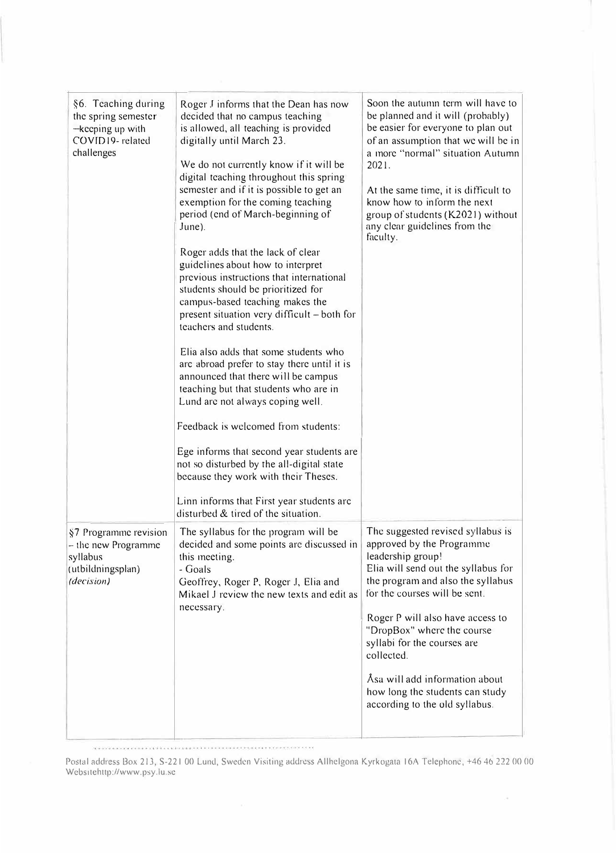| §6. Teaching during<br>the spring semester<br>-keeping up with<br>COVID19-related<br>challenges | Roger J informs that the Dean has now<br>decided that no campus teaching<br>is allowed, all teaching is provided<br>digitally until March 23.<br>We do not currently know if it will be<br>digital teaching throughout this spring<br>semester and if it is possible to get an<br>exemption for the coming teaching<br>period (end of March-beginning of<br>$June$ ).<br>Roger adds that the lack of clear<br>guidelines about how to interpret<br>previous instructions that international<br>students should be prioritized for<br>campus-based teaching makes the<br>present situation very difficult - both for<br>teachers and students.<br>Elia also adds that some students who<br>arc abroad prefer to stay there until it is<br>announced that there will be campus<br>teaching but that students who are in<br>Lund are not always coping well.<br>Feedback is welcomed from students:<br>Ege informs that second year students are<br>not so disturbed by the all-digital state<br>because they work with their Theses.<br>Linn informs that First year students arc<br>disturbed & tired of the situation. | Soon the autumn term will have to<br>be planned and it will (probably)<br>be easier for everyone to plan out<br>of an assumption that we will be in<br>a more "normal" situation Autumn<br>2021.<br>At the same time, it is difficult to<br>know how to inform the next<br>group of students (K2021) without<br>any clear guidelines from the<br>faculty.                                                              |
|-------------------------------------------------------------------------------------------------|------------------------------------------------------------------------------------------------------------------------------------------------------------------------------------------------------------------------------------------------------------------------------------------------------------------------------------------------------------------------------------------------------------------------------------------------------------------------------------------------------------------------------------------------------------------------------------------------------------------------------------------------------------------------------------------------------------------------------------------------------------------------------------------------------------------------------------------------------------------------------------------------------------------------------------------------------------------------------------------------------------------------------------------------------------------------------------------------------------------------|------------------------------------------------------------------------------------------------------------------------------------------------------------------------------------------------------------------------------------------------------------------------------------------------------------------------------------------------------------------------------------------------------------------------|
| §7 Programme revision<br>- the new Programme<br>syllabus<br>(utbildningsplan)<br>(decision)     | The syllabus for the program will be<br>decided and some points are discussed in<br>this meeting.<br>- Goals<br>Geoffrey, Roger P, Roger J, Elia and<br>Mikael J review the new texts and edit as<br>necessary.                                                                                                                                                                                                                                                                                                                                                                                                                                                                                                                                                                                                                                                                                                                                                                                                                                                                                                        | The suggested revised syllabus is<br>approved by the Programme<br>leadership group!<br>Elia will send out the syllabus for<br>the program and also the syllabus<br>for the courses will be sent.<br>Roger P will also have access to<br>"DropBox" where the course<br>syllabi for the courses are<br>collected.<br>Åsa will add information about<br>how long the students can study<br>according to the old syllabus. |

 $\label{eq:3.1} \frac{1}{2} \sqrt{2} \left( \frac{1}{2} \left( \frac{1}{2} \left( \frac{1}{2} \left( \frac{1}{2} \left( \frac{1}{2} \left( \frac{1}{2} \left( \frac{1}{2} \left( \frac{1}{2} \left( \frac{1}{2} \left( \frac{1}{2} \left( \frac{1}{2} \left( \frac{1}{2} \left( \frac{1}{2} \right) \right) + \frac{1}{2} \left( \frac{1}{2} \left( \frac{1}{2} \left( \frac{1}{2} \left( \frac{1}{2} \right) \right) + \frac{1}{2} \$ 

Postal address Box 213, S-221 00 Lund, Sweden Visiting address Allhclgona Kyrkogata 16A Telephone, +46 46 222 00 00 Websitehttp://www.psy.lu.se

 $\sim$